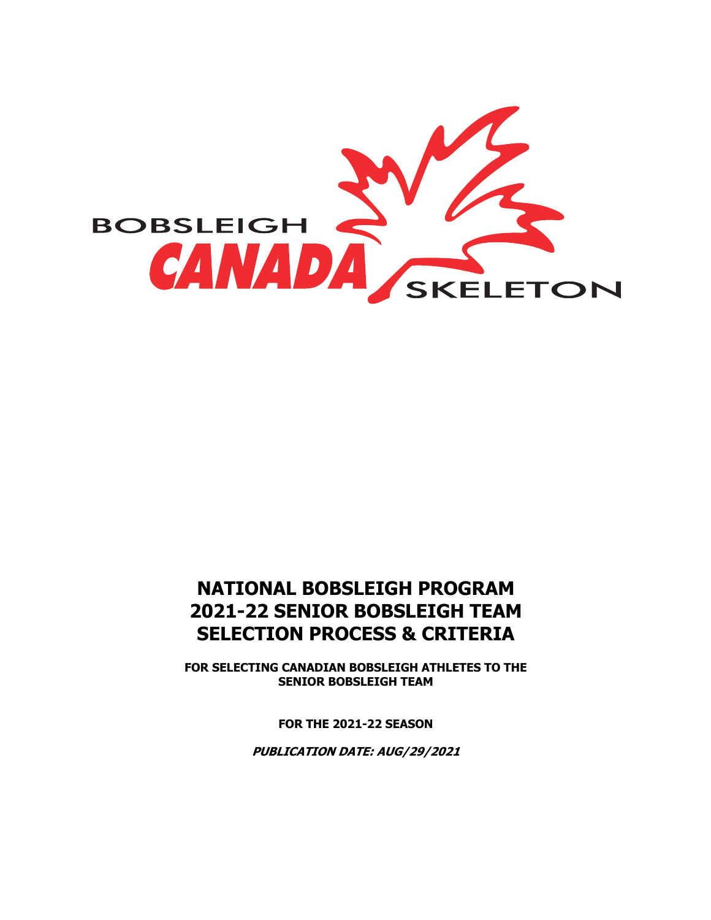

# **NATIONAL BOBSLEIGH PROGRAM 2021-22 SENIOR BOBSLEIGH TEAM SELECTION PROCESS & CRITERIA**

**FOR SELECTING CANADIAN BOBSLEIGH ATHLETES TO THE SENIOR BOBSLEIGH TEAM**

**FOR THE 2021-22 SEASON**

**PUBLICATION DATE: AUG/29/2021**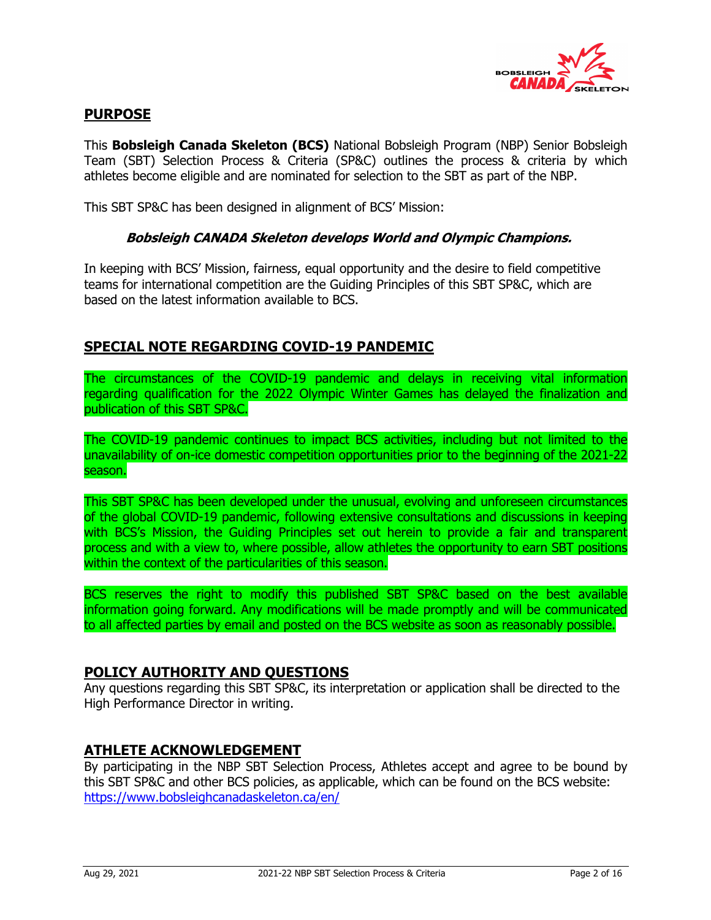

## **PURPOSE**

This **Bobsleigh Canada Skeleton (BCS)** National Bobsleigh Program (NBP) Senior Bobsleigh Team (SBT) Selection Process & Criteria (SP&C) outlines the process & criteria by which athletes become eligible and are nominated for selection to the SBT as part of the NBP.

This SBT SP&C has been designed in alignment of BCS' Mission:

### **Bobsleigh CANADA Skeleton develops World and Olympic Champions.**

In keeping with BCS' Mission, fairness, equal opportunity and the desire to field competitive teams for international competition are the Guiding Principles of this SBT SP&C, which are based on the latest information available to BCS.

## **SPECIAL NOTE REGARDING COVID-19 PANDEMIC**

The circumstances of the COVID-19 pandemic and delays in receiving vital information regarding qualification for the 2022 Olympic Winter Games has delayed the finalization and publication of this SBT SP&C.

The COVID-19 pandemic continues to impact BCS activities, including but not limited to the unavailability of on-ice domestic competition opportunities prior to the beginning of the 2021-22 season.

This SBT SP&C has been developed under the unusual, evolving and unforeseen circumstances of the global COVID-19 pandemic, following extensive consultations and discussions in keeping with BCS's Mission, the Guiding Principles set out herein to provide a fair and transparent process and with a view to, where possible, allow athletes the opportunity to earn SBT positions within the context of the particularities of this season.

BCS reserves the right to modify this published SBT SP&C based on the best available information going forward. Any modifications will be made promptly and will be communicated to all affected parties by email and posted on the BCS website as soon as reasonably possible.

### **POLICY AUTHORITY AND QUESTIONS**

Any questions regarding this SBT SP&C, its interpretation or application shall be directed to the High Performance Director in writing.

### **ATHLETE ACKNOWLEDGEMENT**

By participating in the NBP SBT Selection Process, Athletes accept and agree to be bound by this SBT SP&C and other BCS policies, as applicable, which can be found on the BCS website: https://www.bobsleighcanadaskeleton.ca/en/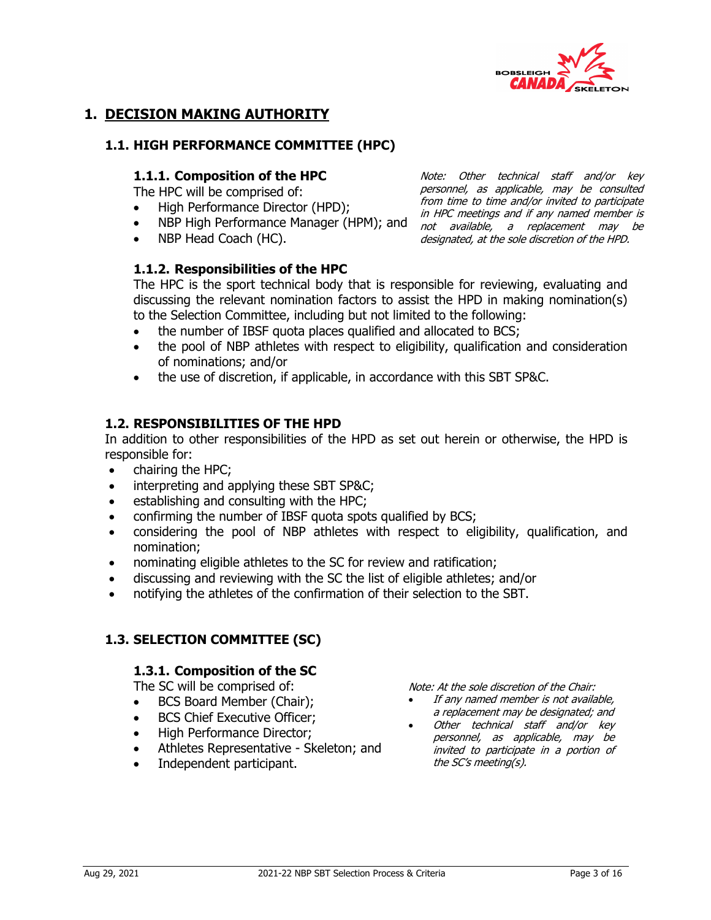

Note: Other technical staff and/or key personnel, as applicable, may be consulted from time to time and/or invited to participate

## **1. DECISION MAKING AUTHORITY**

#### **1.1. HIGH PERFORMANCE COMMITTEE (HPC)**

#### **1.1.1. Composition of the HPC**

The HPC will be comprised of:

• High Performance Director (HPD);

- *i* in the meetings and if any named member is<br>• NBP High Performance Manager (HPM); and not available, a replacement may be
- NBP Head Coach (HC).

#### **1.1.2. Responsibilities of the HPC**

not available, a replacement may be designated, at the sole discretion of the HPD.

The HPC is the sport technical body that is responsible for reviewing, evaluating and discussing the relevant nomination factors to assist the HPD in making nomination(s) to the Selection Committee, including but not limited to the following:

- the number of IBSF quota places qualified and allocated to BCS;
- the pool of NBP athletes with respect to eligibility, qualification and consideration of nominations; and/or
- the use of discretion, if applicable, in accordance with this SBT SP&C.

#### **1.2. RESPONSIBILITIES OF THE HPD**

In addition to other responsibilities of the HPD as set out herein or otherwise, the HPD is responsible for:

- chairing the HPC;
- interpreting and applying these SBT SP&C;
- establishing and consulting with the HPC;
- confirming the number of IBSF quota spots qualified by BCS;
- considering the pool of NBP athletes with respect to eligibility, qualification, and nomination;
- nominating eligible athletes to the SC for review and ratification;
- discussing and reviewing with the SC the list of eligible athletes; and/or
- notifying the athletes of the confirmation of their selection to the SBT.

## **1.3. SELECTION COMMITTEE (SC)**

#### **1.3.1. Composition of the SC**

The SC will be comprised of:

- BCS Board Member (Chair);
- BCS Chief Executive Officer;
- High Performance Director;
- Athletes Representative Skeleton; and
- Independent participant.

Note: At the sole discretion of the Chair:

- If any named member is not available. a replacement may be designated; and
- Other technical staff and/or key personnel, as applicable, may be invited to participate in a portion of the SC's meeting(s).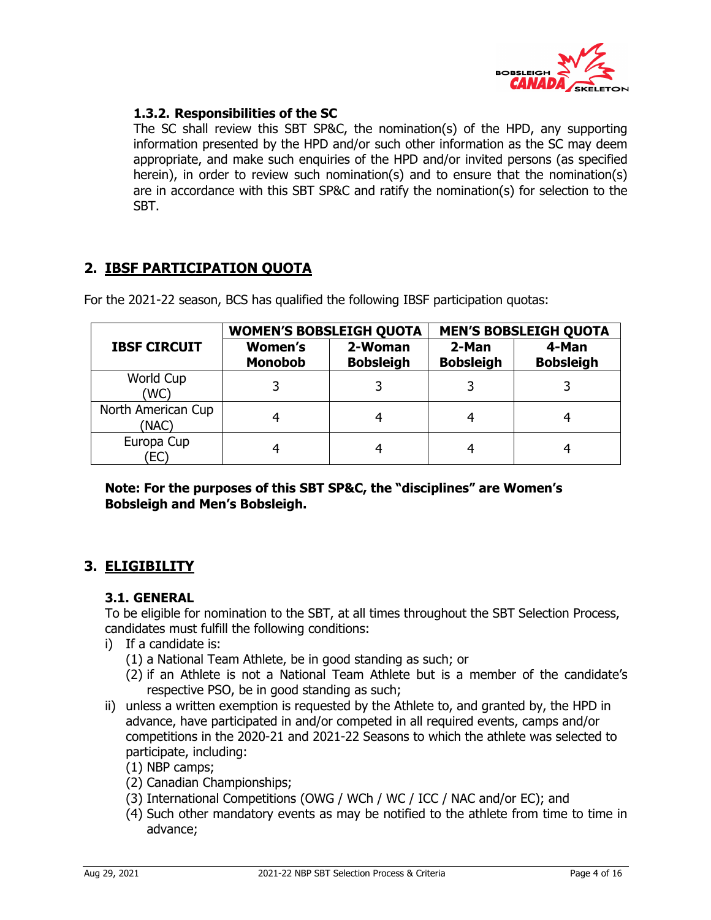

## **1.3.2. Responsibilities of the SC**

The SC shall review this SBT SP&C, the nomination(s) of the HPD, any supporting information presented by the HPD and/or such other information as the SC may deem appropriate, and make such enquiries of the HPD and/or invited persons (as specified herein), in order to review such nomination(s) and to ensure that the nomination(s) are in accordance with this SBT SP&C and ratify the nomination(s) for selection to the SBT.

## **2. IBSF PARTICIPATION QUOTA**

|                             | <b>WOMEN'S BOBSLEIGH QUOTA</b>   |                             | <b>MEN'S BOBSLEIGH QUOTA</b> |                           |  |  |  |  |  |  |
|-----------------------------|----------------------------------|-----------------------------|------------------------------|---------------------------|--|--|--|--|--|--|
| <b>IBSF CIRCUIT</b>         | <b>Women's</b><br><b>Monobob</b> | 2-Woman<br><b>Bobsleigh</b> | 2-Man<br><b>Bobsleigh</b>    | 4-Man<br><b>Bobsleigh</b> |  |  |  |  |  |  |
| World Cup<br>(WC)           |                                  |                             |                              |                           |  |  |  |  |  |  |
| North American Cup<br>(NAC) |                                  | 4                           |                              |                           |  |  |  |  |  |  |
| Europa Cup<br>EC)           |                                  |                             |                              |                           |  |  |  |  |  |  |

For the 2021-22 season, BCS has qualified the following IBSF participation quotas:

**Note: For the purposes of this SBT SP&C, the "disciplines" are Women's Bobsleigh and Men's Bobsleigh.** 

## **3. ELIGIBILITY**

### **3.1. GENERAL**

To be eligible for nomination to the SBT, at all times throughout the SBT Selection Process, candidates must fulfill the following conditions:

- i) If a candidate is:
	- (1) a National Team Athlete, be in good standing as such; or
	- (2) if an Athlete is not a National Team Athlete but is a member of the candidate's respective PSO, be in good standing as such;
- ii) unless a written exemption is requested by the Athlete to, and granted by, the HPD in advance, have participated in and/or competed in all required events, camps and/or competitions in the 2020-21 and 2021-22 Seasons to which the athlete was selected to participate, including:
	- (1) NBP camps;
	- (2) Canadian Championships;
	- (3) International Competitions (OWG / WCh / WC / ICC / NAC and/or EC); and
	- (4) Such other mandatory events as may be notified to the athlete from time to time in advance;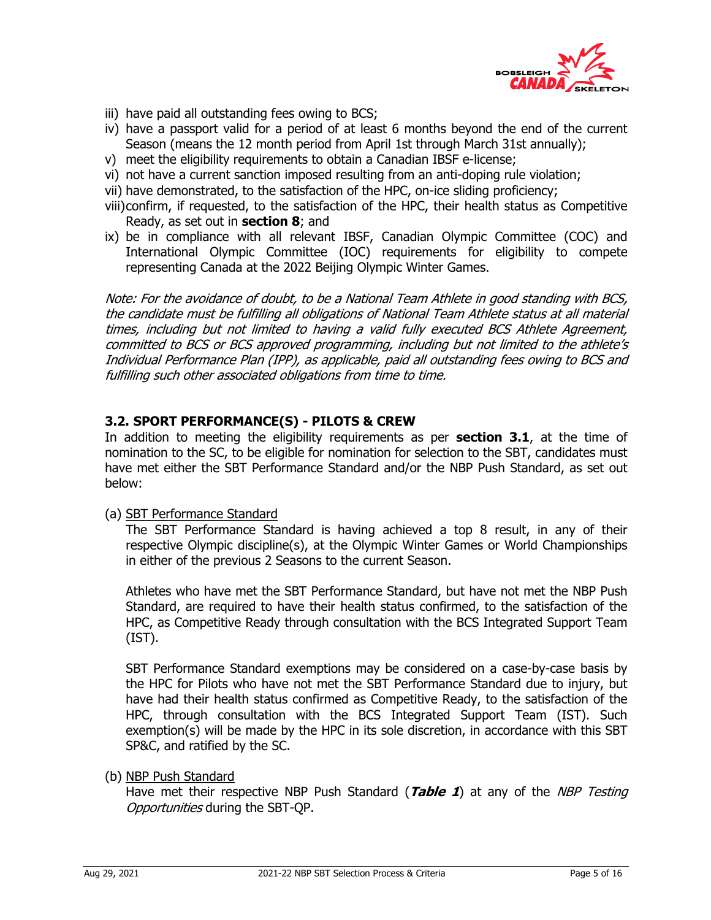

- iii) have paid all outstanding fees owing to BCS;
- iv) have a passport valid for a period of at least 6 months beyond the end of the current Season (means the 12 month period from April 1st through March 31st annually);
- v) meet the eligibility requirements to obtain a Canadian IBSF e-license;
- vi) not have a current sanction imposed resulting from an anti-doping rule violation;
- vii) have demonstrated, to the satisfaction of the HPC, on-ice sliding proficiency;
- viii)confirm, if requested, to the satisfaction of the HPC, their health status as Competitive Ready, as set out in **section 8**; and
- ix) be in compliance with all relevant IBSF, Canadian Olympic Committee (COC) and International Olympic Committee (IOC) requirements for eligibility to compete representing Canada at the 2022 Beijing Olympic Winter Games.

Note: For the avoidance of doubt, to be a National Team Athlete in good standing with BCS, the candidate must be fulfilling all obligations of National Team Athlete status at all material times, including but not limited to having a valid fully executed BCS Athlete Agreement, committed to BCS or BCS approved programming, including but not limited to the athlete's Individual Performance Plan (IPP), as applicable, paid all outstanding fees owing to BCS and fulfilling such other associated obligations from time to time.

## **3.2. SPORT PERFORMANCE(S) - PILOTS & CREW**

In addition to meeting the eligibility requirements as per **section 3.1**, at the time of nomination to the SC, to be eligible for nomination for selection to the SBT, candidates must have met either the SBT Performance Standard and/or the NBP Push Standard, as set out below:

(a) SBT Performance Standard

The SBT Performance Standard is having achieved a top 8 result, in any of their respective Olympic discipline(s), at the Olympic Winter Games or World Championships in either of the previous 2 Seasons to the current Season.

Athletes who have met the SBT Performance Standard, but have not met the NBP Push Standard, are required to have their health status confirmed, to the satisfaction of the HPC, as Competitive Ready through consultation with the BCS Integrated Support Team (IST).

SBT Performance Standard exemptions may be considered on a case-by-case basis by the HPC for Pilots who have not met the SBT Performance Standard due to injury, but have had their health status confirmed as Competitive Ready, to the satisfaction of the HPC, through consultation with the BCS Integrated Support Team (IST). Such exemption(s) will be made by the HPC in its sole discretion, in accordance with this SBT SP&C, and ratified by the SC.

(b) NBP Push Standard

Have met their respective NBP Push Standard (**Table 1**) at any of the NBP Testing Opportunities during the SBT-QP.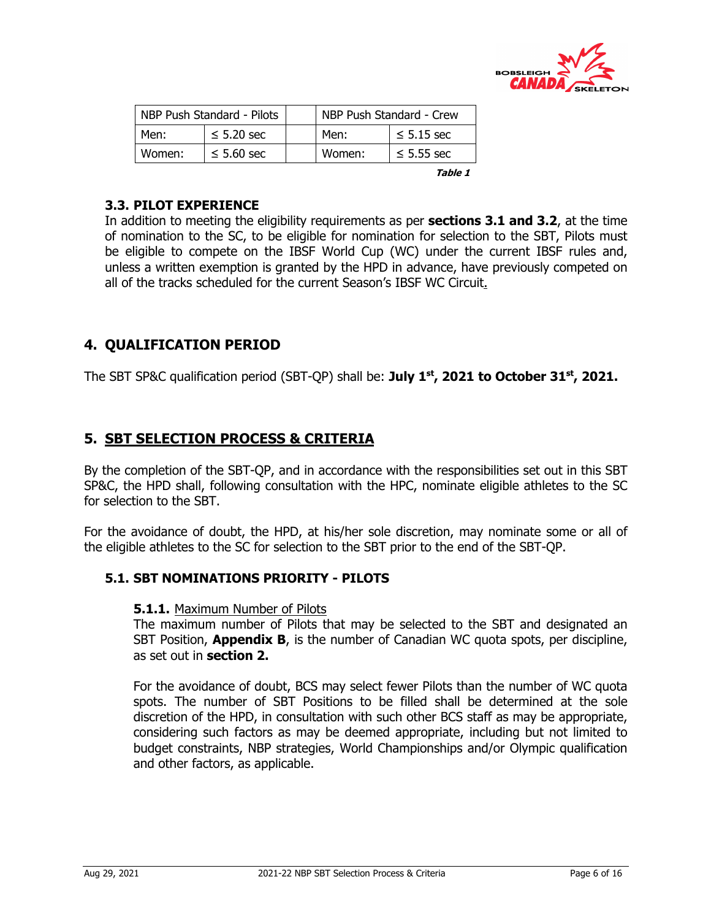

|        | NBP Push Standard - Pilots | NBP Push Standard - Crew |        |                 |  |  |  |  |  |
|--------|----------------------------|--------------------------|--------|-----------------|--|--|--|--|--|
| Men:   | $\leq$ 5.20 sec            |                          | Men:   | $\leq$ 5.15 sec |  |  |  |  |  |
| Women: | $\leq 5.60$ sec            |                          | Women: | $\leq$ 5.55 sec |  |  |  |  |  |

**Table 1**

## **3.3. PILOT EXPERIENCE**

In addition to meeting the eligibility requirements as per **sections 3.1 and 3.2**, at the time of nomination to the SC, to be eligible for nomination for selection to the SBT, Pilots must be eligible to compete on the IBSF World Cup (WC) under the current IBSF rules and, unless a written exemption is granted by the HPD in advance, have previously competed on all of the tracks scheduled for the current Season's IBSF WC Circuit.

## **4. QUALIFICATION PERIOD**

The SBT SP&C qualification period (SBT-QP) shall be: **July 1st, 2021 to October 31st, 2021.**

## **5. SBT SELECTION PROCESS & CRITERIA**

By the completion of the SBT-QP, and in accordance with the responsibilities set out in this SBT SP&C, the HPD shall, following consultation with the HPC, nominate eligible athletes to the SC for selection to the SBT.

For the avoidance of doubt, the HPD, at his/her sole discretion, may nominate some or all of the eligible athletes to the SC for selection to the SBT prior to the end of the SBT-QP.

### **5.1. SBT NOMINATIONS PRIORITY - PILOTS**

### **5.1.1.** Maximum Number of Pilots

The maximum number of Pilots that may be selected to the SBT and designated an SBT Position, **Appendix B**, is the number of Canadian WC quota spots, per discipline, as set out in **section 2.**

For the avoidance of doubt, BCS may select fewer Pilots than the number of WC quota spots. The number of SBT Positions to be filled shall be determined at the sole discretion of the HPD, in consultation with such other BCS staff as may be appropriate, considering such factors as may be deemed appropriate, including but not limited to budget constraints, NBP strategies, World Championships and/or Olympic qualification and other factors, as applicable.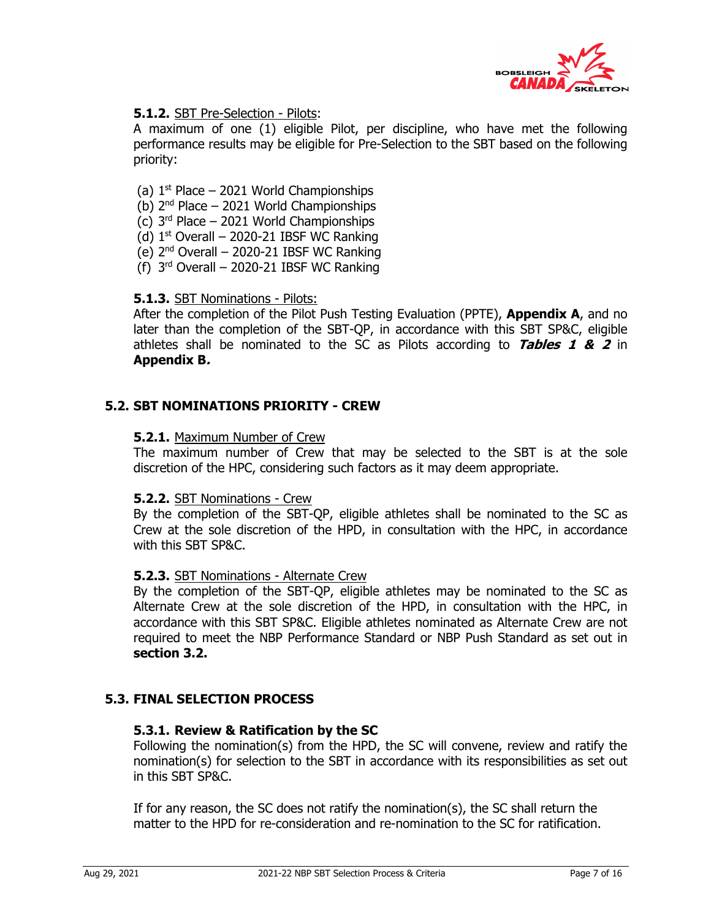

## **5.1.2.** SBT Pre-Selection - Pilots:

A maximum of one (1) eligible Pilot, per discipline, who have met the following performance results may be eligible for Pre-Selection to the SBT based on the following priority:

- (a)  $1<sup>st</sup>$  Place 2021 World Championships
- (b)  $2^{nd}$  Place 2021 World Championships
- (c)  $3<sup>rd</sup>$  Place 2021 World Championships
- (d)  $1<sup>st</sup>$  Overall 2020-21 IBSF WC Ranking
- (e) 2nd Overall 2020-21 IBSF WC Ranking
- (f)  $3<sup>rd</sup>$  Overall 2020-21 IBSF WC Ranking

### **5.1.3.** SBT Nominations - Pilots:

After the completion of the Pilot Push Testing Evaluation (PPTE), **Appendix A**, and no later than the completion of the SBT-QP, in accordance with this SBT SP&C, eligible athletes shall be nominated to the SC as Pilots according to **Tables 1 & 2** in **Appendix B.**

### **5.2. SBT NOMINATIONS PRIORITY - CREW**

#### **5.2.1.** Maximum Number of Crew

The maximum number of Crew that may be selected to the SBT is at the sole discretion of the HPC, considering such factors as it may deem appropriate.

#### **5.2.2.** SBT Nominations - Crew

By the completion of the SBT-QP, eligible athletes shall be nominated to the SC as Crew at the sole discretion of the HPD, in consultation with the HPC, in accordance with this SBT SP&C.

#### **5.2.3.** SBT Nominations - Alternate Crew

By the completion of the SBT-QP, eligible athletes may be nominated to the SC as Alternate Crew at the sole discretion of the HPD, in consultation with the HPC, in accordance with this SBT SP&C. Eligible athletes nominated as Alternate Crew are not required to meet the NBP Performance Standard or NBP Push Standard as set out in **section 3.2.**

### **5.3. FINAL SELECTION PROCESS**

### **5.3.1. Review & Ratification by the SC**

Following the nomination(s) from the HPD, the SC will convene, review and ratify the nomination(s) for selection to the SBT in accordance with its responsibilities as set out in this SBT SP&C.

If for any reason, the SC does not ratify the nomination(s), the SC shall return the matter to the HPD for re-consideration and re-nomination to the SC for ratification.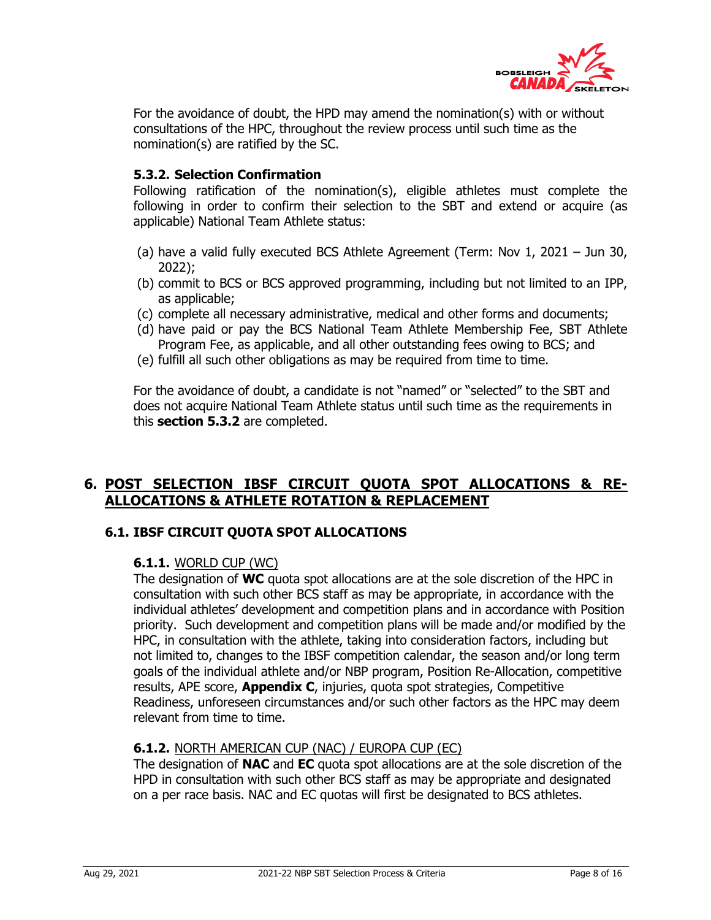

For the avoidance of doubt, the HPD may amend the nomination(s) with or without consultations of the HPC, throughout the review process until such time as the nomination(s) are ratified by the SC.

## **5.3.2. Selection Confirmation**

Following ratification of the nomination(s), eligible athletes must complete the following in order to confirm their selection to the SBT and extend or acquire (as applicable) National Team Athlete status:

- (a) have a valid fully executed BCS Athlete Agreement (Term: Nov 1, 2021 Jun 30, 2022);
- (b) commit to BCS or BCS approved programming, including but not limited to an IPP, as applicable;
- (c) complete all necessary administrative, medical and other forms and documents;
- (d) have paid or pay the BCS National Team Athlete Membership Fee, SBT Athlete Program Fee, as applicable, and all other outstanding fees owing to BCS; and
- (e) fulfill all such other obligations as may be required from time to time.

For the avoidance of doubt, a candidate is not "named" or "selected" to the SBT and does not acquire National Team Athlete status until such time as the requirements in this **section 5.3.2** are completed.

## **6. POST SELECTION IBSF CIRCUIT QUOTA SPOT ALLOCATIONS & RE-ALLOCATIONS & ATHLETE ROTATION & REPLACEMENT**

## **6.1. IBSF CIRCUIT QUOTA SPOT ALLOCATIONS**

### **6.1.1.** WORLD CUP (WC)

The designation of **WC** quota spot allocations are at the sole discretion of the HPC in consultation with such other BCS staff as may be appropriate, in accordance with the individual athletes' development and competition plans and in accordance with Position priority. Such development and competition plans will be made and/or modified by the HPC, in consultation with the athlete, taking into consideration factors, including but not limited to, changes to the IBSF competition calendar, the season and/or long term goals of the individual athlete and/or NBP program, Position Re-Allocation, competitive results, APE score, **Appendix C**, injuries, quota spot strategies, Competitive Readiness, unforeseen circumstances and/or such other factors as the HPC may deem relevant from time to time.

### **6.1.2.** NORTH AMERICAN CUP (NAC) / EUROPA CUP (EC)

The designation of **NAC** and **EC** quota spot allocations are at the sole discretion of the HPD in consultation with such other BCS staff as may be appropriate and designated on a per race basis. NAC and EC quotas will first be designated to BCS athletes.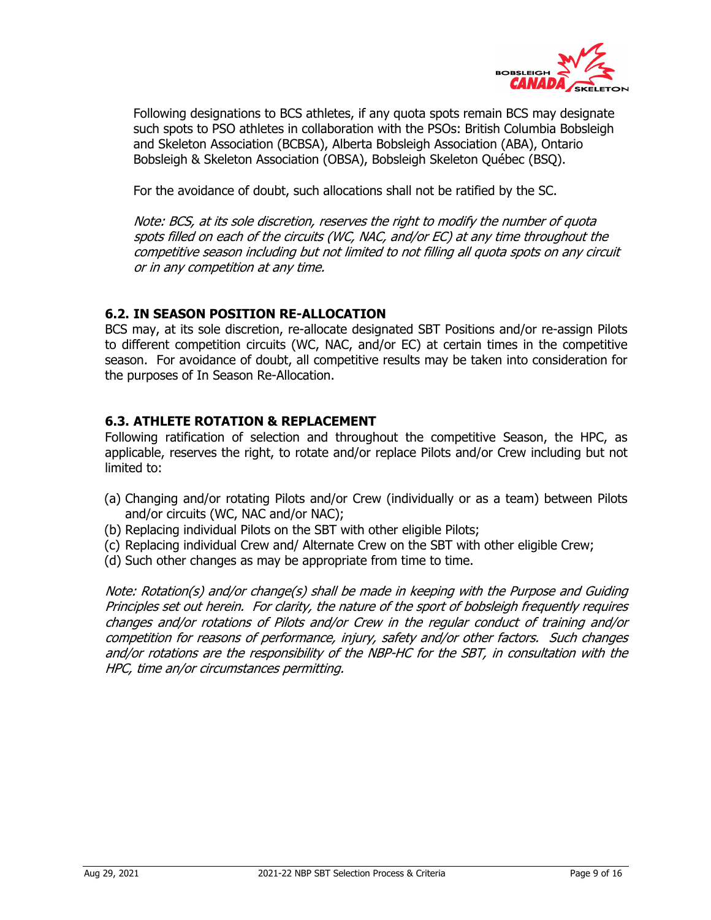

Following designations to BCS athletes, if any quota spots remain BCS may designate such spots to PSO athletes in collaboration with the PSOs: British Columbia Bobsleigh and Skeleton Association (BCBSA), Alberta Bobsleigh Association (ABA), Ontario Bobsleigh & Skeleton Association (OBSA), Bobsleigh Skeleton Québec (BSQ).

For the avoidance of doubt, such allocations shall not be ratified by the SC.

Note: BCS, at its sole discretion, reserves the right to modify the number of quota spots filled on each of the circuits (WC, NAC, and/or EC) at any time throughout the competitive season including but not limited to not filling all quota spots on any circuit or in any competition at any time.

## **6.2. IN SEASON POSITION RE-ALLOCATION**

BCS may, at its sole discretion, re-allocate designated SBT Positions and/or re-assign Pilots to different competition circuits (WC, NAC, and/or EC) at certain times in the competitive season. For avoidance of doubt, all competitive results may be taken into consideration for the purposes of In Season Re-Allocation.

## **6.3. ATHLETE ROTATION & REPLACEMENT**

Following ratification of selection and throughout the competitive Season, the HPC, as applicable, reserves the right, to rotate and/or replace Pilots and/or Crew including but not limited to:

- (a) Changing and/or rotating Pilots and/or Crew (individually or as a team) between Pilots and/or circuits (WC, NAC and/or NAC);
- (b) Replacing individual Pilots on the SBT with other eligible Pilots;
- (c) Replacing individual Crew and/ Alternate Crew on the SBT with other eligible Crew;
- (d) Such other changes as may be appropriate from time to time.

Note: Rotation(s) and/or change(s) shall be made in keeping with the Purpose and Guiding Principles set out herein. For clarity, the nature of the sport of bobsleigh frequently requires changes and/or rotations of Pilots and/or Crew in the regular conduct of training and/or competition for reasons of performance, injury, safety and/or other factors. Such changes and/or rotations are the responsibility of the NBP-HC for the SBT, in consultation with the HPC, time an/or circumstances permitting.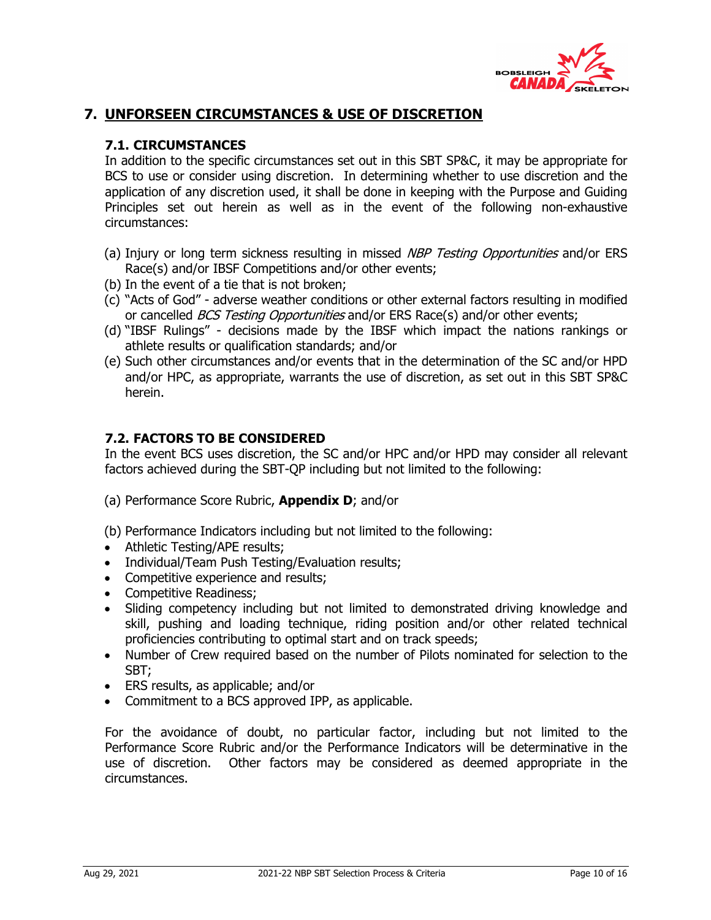

## **7. UNFORSEEN CIRCUMSTANCES & USE OF DISCRETION**

## **7.1. CIRCUMSTANCES**

In addition to the specific circumstances set out in this SBT SP&C, it may be appropriate for BCS to use or consider using discretion. In determining whether to use discretion and the application of any discretion used, it shall be done in keeping with the Purpose and Guiding Principles set out herein as well as in the event of the following non-exhaustive circumstances:

- (a) Injury or long term sickness resulting in missed NBP Testing Opportunities and/or ERS Race(s) and/or IBSF Competitions and/or other events;
- (b) In the event of a tie that is not broken;
- (c) "Acts of God" adverse weather conditions or other external factors resulting in modified or cancelled *BCS Testing Opportunities* and/or ERS Race(s) and/or other events;
- (d) "IBSF Rulings" decisions made by the IBSF which impact the nations rankings or athlete results or qualification standards; and/or
- (e) Such other circumstances and/or events that in the determination of the SC and/or HPD and/or HPC, as appropriate, warrants the use of discretion, as set out in this SBT SP&C herein.

## **7.2. FACTORS TO BE CONSIDERED**

In the event BCS uses discretion, the SC and/or HPC and/or HPD may consider all relevant factors achieved during the SBT-QP including but not limited to the following:

- (a) Performance Score Rubric, **Appendix D**; and/or
- (b) Performance Indicators including but not limited to the following:
- Athletic Testing/APE results;
- Individual/Team Push Testing/Evaluation results;
- Competitive experience and results;
- Competitive Readiness;
- Sliding competency including but not limited to demonstrated driving knowledge and skill, pushing and loading technique, riding position and/or other related technical proficiencies contributing to optimal start and on track speeds;
- Number of Crew required based on the number of Pilots nominated for selection to the SBT;
- ERS results, as applicable; and/or
- Commitment to a BCS approved IPP, as applicable.

For the avoidance of doubt, no particular factor, including but not limited to the Performance Score Rubric and/or the Performance Indicators will be determinative in the use of discretion. Other factors may be considered as deemed appropriate in the circumstances.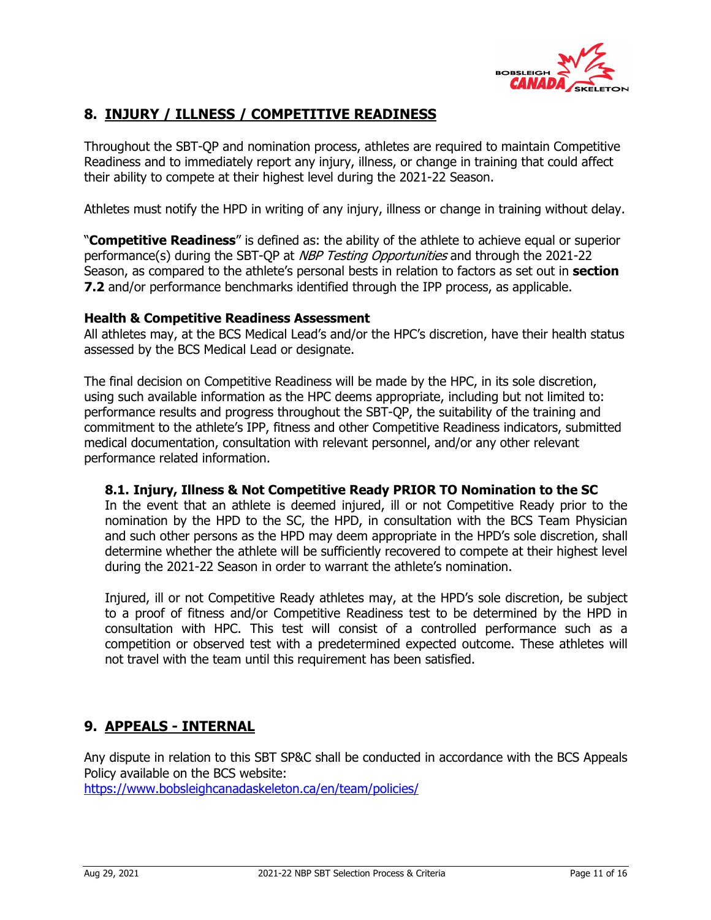

## **8. INJURY / ILLNESS / COMPETITIVE READINESS**

Throughout the SBT-QP and nomination process, athletes are required to maintain Competitive Readiness and to immediately report any injury, illness, or change in training that could affect their ability to compete at their highest level during the 2021-22 Season.

Athletes must notify the HPD in writing of any injury, illness or change in training without delay.

"**Competitive Readiness**" is defined as: the ability of the athlete to achieve equal or superior performance(s) during the SBT-QP at *NBP Testing Opportunities* and through the 2021-22 Season, as compared to the athlete's personal bests in relation to factors as set out in **section 7.2** and/or performance benchmarks identified through the IPP process, as applicable.

#### **Health & Competitive Readiness Assessment**

All athletes may, at the BCS Medical Lead's and/or the HPC's discretion, have their health status assessed by the BCS Medical Lead or designate.

The final decision on Competitive Readiness will be made by the HPC, in its sole discretion, using such available information as the HPC deems appropriate, including but not limited to: performance results and progress throughout the SBT-QP, the suitability of the training and commitment to the athlete's IPP, fitness and other Competitive Readiness indicators, submitted medical documentation, consultation with relevant personnel, and/or any other relevant performance related information.

### **8.1. Injury, Illness & Not Competitive Ready PRIOR TO Nomination to the SC**

In the event that an athlete is deemed injured, ill or not Competitive Ready prior to the nomination by the HPD to the SC, the HPD, in consultation with the BCS Team Physician and such other persons as the HPD may deem appropriate in the HPD's sole discretion, shall determine whether the athlete will be sufficiently recovered to compete at their highest level during the 2021-22 Season in order to warrant the athlete's nomination.

Injured, ill or not Competitive Ready athletes may, at the HPD's sole discretion, be subject to a proof of fitness and/or Competitive Readiness test to be determined by the HPD in consultation with HPC. This test will consist of a controlled performance such as a competition or observed test with a predetermined expected outcome. These athletes will not travel with the team until this requirement has been satisfied.

## **9. APPEALS - INTERNAL**

Any dispute in relation to this SBT SP&C shall be conducted in accordance with the BCS Appeals Policy available on the BCS website:

https://www.bobsleighcanadaskeleton.ca/en/team/policies/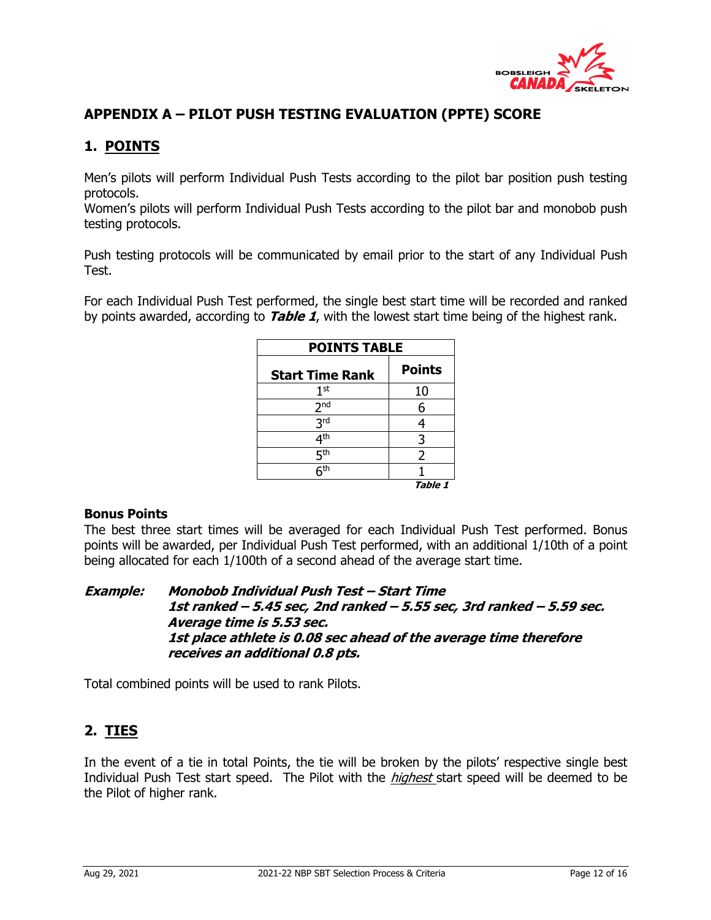

## **APPENDIX A – PILOT PUSH TESTING EVALUATION (PPTE) SCORE**

## **1. POINTS**

Men's pilots will perform Individual Push Tests according to the pilot bar position push testing protocols.

Women's pilots will perform Individual Push Tests according to the pilot bar and monobob push testing protocols.

Push testing protocols will be communicated by email prior to the start of any Individual Push Test.

For each Individual Push Test performed, the single best start time will be recorded and ranked by points awarded, according to **Table 1**, with the lowest start time being of the highest rank.

| <b>POINTS TABLE</b>    |               |  |  |  |  |  |  |  |  |
|------------------------|---------------|--|--|--|--|--|--|--|--|
| <b>Start Time Rank</b> | <b>Points</b> |  |  |  |  |  |  |  |  |
| 1 <sup>st</sup>        | 10            |  |  |  |  |  |  |  |  |
| 2 <sub>nd</sub>        | 6             |  |  |  |  |  |  |  |  |
| 3 <sup>rd</sup>        |               |  |  |  |  |  |  |  |  |
| 4 <sup>th</sup>        | 3             |  |  |  |  |  |  |  |  |
| 5 <sup>th</sup>        | 2             |  |  |  |  |  |  |  |  |
| 5 <sup>th</sup>        |               |  |  |  |  |  |  |  |  |
|                        | Table 1       |  |  |  |  |  |  |  |  |

### **Bonus Points**

The best three start times will be averaged for each Individual Push Test performed. Bonus points will be awarded, per Individual Push Test performed, with an additional 1/10th of a point being allocated for each 1/100th of a second ahead of the average start time.

**Example: Monobob Individual Push Test – Start Time 1st ranked – 5.45 sec, 2nd ranked – 5.55 sec, 3rd ranked – 5.59 sec. Average time is 5.53 sec. 1st place athlete is 0.08 sec ahead of the average time therefore receives an additional 0.8 pts.**

Total combined points will be used to rank Pilots.

## **2. TIES**

In the event of a tie in total Points, the tie will be broken by the pilots' respective single best Individual Push Test start speed. The Pilot with the *highest* start speed will be deemed to be the Pilot of higher rank.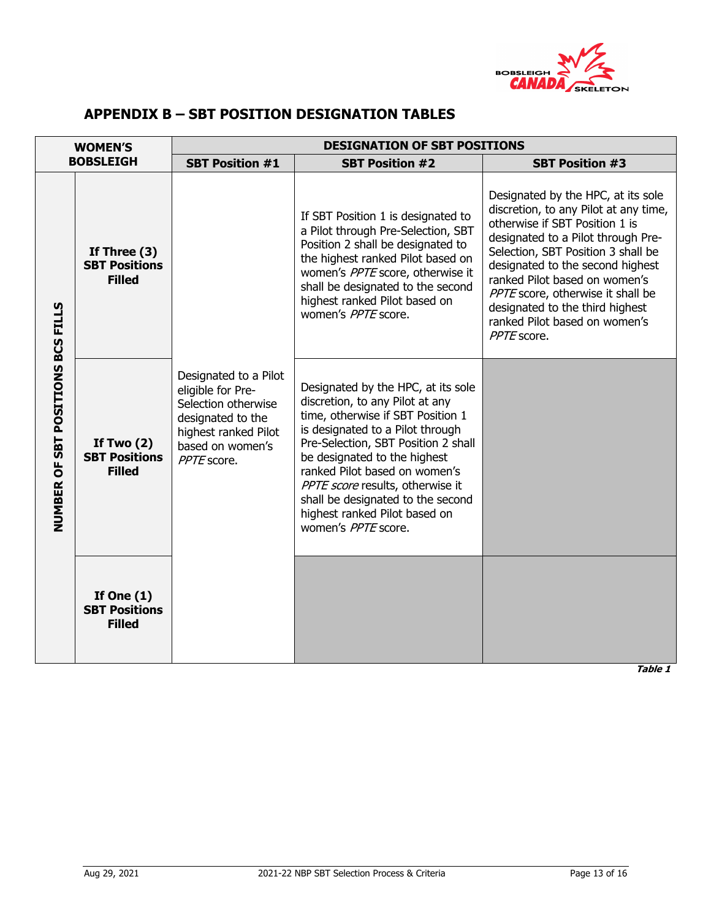

## **APPENDIX B – SBT POSITION DESIGNATION TABLES**

|                                                     | <b>WOMEN'S</b>                                          |                                                                                                                                                   | <b>DESIGNATION OF SBT POSITIONS</b>                                                                                                                                                                                                                                                                                                                                                     |                                                                                                                                                                                                                                                                                                                                                                                        |
|-----------------------------------------------------|---------------------------------------------------------|---------------------------------------------------------------------------------------------------------------------------------------------------|-----------------------------------------------------------------------------------------------------------------------------------------------------------------------------------------------------------------------------------------------------------------------------------------------------------------------------------------------------------------------------------------|----------------------------------------------------------------------------------------------------------------------------------------------------------------------------------------------------------------------------------------------------------------------------------------------------------------------------------------------------------------------------------------|
|                                                     | <b>BOBSLEIGH</b>                                        | <b>SBT Position #1</b>                                                                                                                            | <b>SBT Position #2</b>                                                                                                                                                                                                                                                                                                                                                                  | <b>SBT Position #3</b>                                                                                                                                                                                                                                                                                                                                                                 |
|                                                     | If Three $(3)$<br><b>SBT Positions</b><br><b>Filled</b> |                                                                                                                                                   | If SBT Position 1 is designated to<br>a Pilot through Pre-Selection, SBT<br>Position 2 shall be designated to<br>the highest ranked Pilot based on<br>women's PPTE score, otherwise it<br>shall be designated to the second<br>highest ranked Pilot based on<br>women's PPTE score.                                                                                                     | Designated by the HPC, at its sole<br>discretion, to any Pilot at any time,<br>otherwise if SBT Position 1 is<br>designated to a Pilot through Pre-<br>Selection, SBT Position 3 shall be<br>designated to the second highest<br>ranked Pilot based on women's<br>PPTE score, otherwise it shall be<br>designated to the third highest<br>ranked Pilot based on women's<br>PPTE score. |
| SBT POSITIONS BCS FILLS<br>$\overline{5}$<br>NUMBER | If Two $(2)$<br><b>SBT Positions</b><br><b>Filled</b>   | Designated to a Pilot<br>eligible for Pre-<br>Selection otherwise<br>designated to the<br>highest ranked Pilot<br>based on women's<br>PPTE score. | Designated by the HPC, at its sole<br>discretion, to any Pilot at any<br>time, otherwise if SBT Position 1<br>is designated to a Pilot through<br>Pre-Selection, SBT Position 2 shall<br>be designated to the highest<br>ranked Pilot based on women's<br>PPTE score results, otherwise it<br>shall be designated to the second<br>highest ranked Pilot based on<br>women's PPTE score. |                                                                                                                                                                                                                                                                                                                                                                                        |
|                                                     | If One $(1)$<br><b>SBT Positions</b><br><b>Filled</b>   |                                                                                                                                                   |                                                                                                                                                                                                                                                                                                                                                                                         |                                                                                                                                                                                                                                                                                                                                                                                        |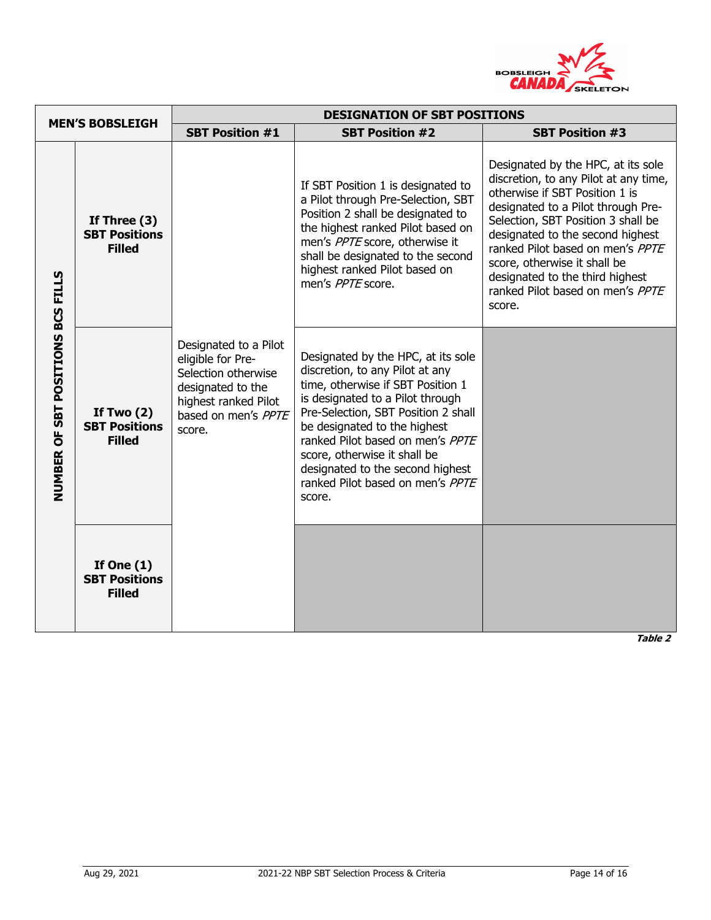

|                                   |                                                         |                                                                                                                                                 | <b>DESIGNATION OF SBT POSITIONS</b>                                                                                                                                                                                                                                                                                                                                         |                                                                                                                                                                                                                                                                                                                                                                                    |
|-----------------------------------|---------------------------------------------------------|-------------------------------------------------------------------------------------------------------------------------------------------------|-----------------------------------------------------------------------------------------------------------------------------------------------------------------------------------------------------------------------------------------------------------------------------------------------------------------------------------------------------------------------------|------------------------------------------------------------------------------------------------------------------------------------------------------------------------------------------------------------------------------------------------------------------------------------------------------------------------------------------------------------------------------------|
|                                   | <b>MEN'S BOBSLEIGH</b>                                  | <b>SBT Position #1</b>                                                                                                                          | <b>SBT Position #2</b>                                                                                                                                                                                                                                                                                                                                                      | <b>SBT Position #3</b>                                                                                                                                                                                                                                                                                                                                                             |
|                                   | If Three $(3)$<br><b>SBT Positions</b><br><b>Filled</b> |                                                                                                                                                 | If SBT Position 1 is designated to<br>a Pilot through Pre-Selection, SBT<br>Position 2 shall be designated to<br>the highest ranked Pilot based on<br>men's PPTE score, otherwise it<br>shall be designated to the second<br>highest ranked Pilot based on<br>men's PPTE score.                                                                                             | Designated by the HPC, at its sole<br>discretion, to any Pilot at any time,<br>otherwise if SBT Position 1 is<br>designated to a Pilot through Pre-<br>Selection, SBT Position 3 shall be<br>designated to the second highest<br>ranked Pilot based on men's PPTE<br>score, otherwise it shall be<br>designated to the third highest<br>ranked Pilot based on men's PPTE<br>score. |
| NUMBER OF SBT POSITIONS BCS FILLS | If Two $(2)$<br><b>SBT Positions</b><br><b>Filled</b>   | Designated to a Pilot<br>eligible for Pre-<br>Selection otherwise<br>designated to the<br>highest ranked Pilot<br>based on men's PPTE<br>score. | Designated by the HPC, at its sole<br>discretion, to any Pilot at any<br>time, otherwise if SBT Position 1<br>is designated to a Pilot through<br>Pre-Selection, SBT Position 2 shall<br>be designated to the highest<br>ranked Pilot based on men's PPTE<br>score, otherwise it shall be<br>designated to the second highest<br>ranked Pilot based on men's PPTE<br>score. |                                                                                                                                                                                                                                                                                                                                                                                    |
|                                   | If One $(1)$<br><b>SBT Positions</b><br><b>Filled</b>   |                                                                                                                                                 |                                                                                                                                                                                                                                                                                                                                                                             |                                                                                                                                                                                                                                                                                                                                                                                    |

**Table 2**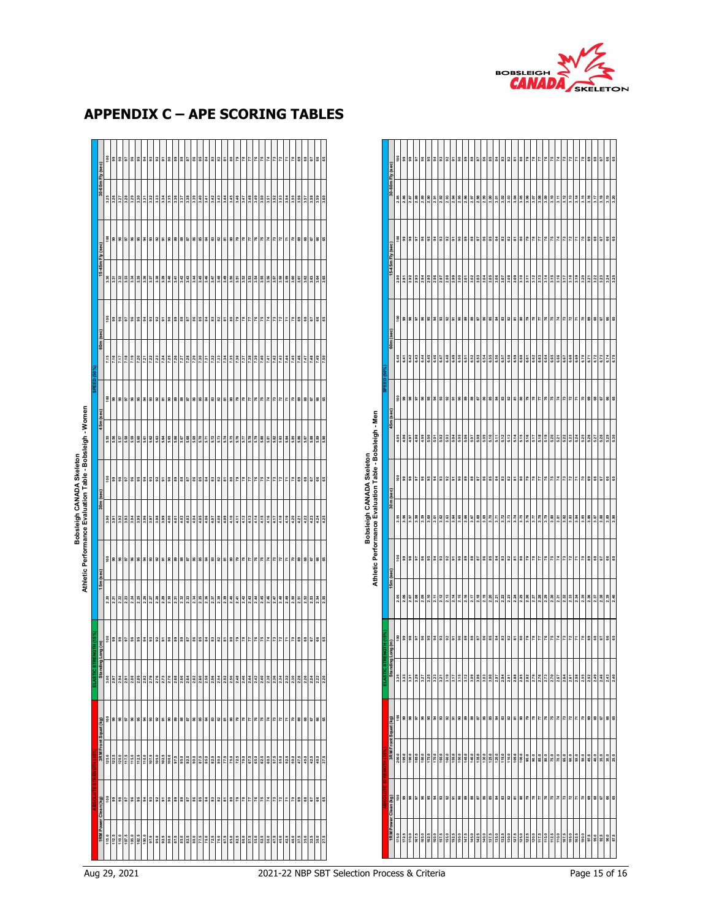

| 0m Fly (sec)                   |             |  |  |  | 58858                                                                                                                                                                                                                                                                                                                                                                                                        |                |                | 88            |  | 858838            |     |      | $\overline{5}$ | $50^{\circ}$  |                                                                                                                                                                                                                                                                                                                                                                                                                                                                            |    |                 | $\overline{r}$ |       |     |     | 55                                                                           |
|--------------------------------|-------------|--|--|--|--------------------------------------------------------------------------------------------------------------------------------------------------------------------------------------------------------------------------------------------------------------------------------------------------------------------------------------------------------------------------------------------------------------|----------------|----------------|---------------|--|-------------------|-----|------|----------------|---------------|----------------------------------------------------------------------------------------------------------------------------------------------------------------------------------------------------------------------------------------------------------------------------------------------------------------------------------------------------------------------------------------------------------------------------------------------------------------------------|----|-----------------|----------------|-------|-----|-----|------------------------------------------------------------------------------|
|                                |             |  |  |  |                                                                                                                                                                                                                                                                                                                                                                                                              |                |                |               |  |                   |     |      |                |               |                                                                                                                                                                                                                                                                                                                                                                                                                                                                            |    |                 |                |       |     |     |                                                                              |
| $(\sec)$                       | <u>ိ</u> ေ  |  |  |  |                                                                                                                                                                                                                                                                                                                                                                                                              |                |                |               |  | 85883985888888888 |     |      |                |               | $\frac{1}{2}$ $\frac{1}{2}$ $\frac{1}{2}$ $\frac{1}{2}$ $\frac{1}{2}$ $\frac{1}{2}$ $\frac{1}{2}$                                                                                                                                                                                                                                                                                                                                                                          |    |                 |                | 783   |     |     | 8585                                                                         |
| 45m Fly                        |             |  |  |  |                                                                                                                                                                                                                                                                                                                                                                                                              |                |                |               |  |                   |     |      |                |               |                                                                                                                                                                                                                                                                                                                                                                                                                                                                            |    |                 |                |       |     |     | 3.63<br>3.64<br>3.65                                                         |
|                                | $rac{8}{9}$ |  |  |  | 2 2 2 2 2 2 2 2 2 2 2 2 2                                                                                                                                                                                                                                                                                                                                                                                    |                |                |               |  | 858838            |     |      |                | 587           | $77$<br>$78$                                                                                                                                                                                                                                                                                                                                                                                                                                                               |    | 727             |                |       | 78  |     | 8582                                                                         |
| 60m (sec)                      |             |  |  |  |                                                                                                                                                                                                                                                                                                                                                                                                              |                |                |               |  |                   |     |      |                |               |                                                                                                                                                                                                                                                                                                                                                                                                                                                                            |    |                 |                |       |     |     |                                                                              |
|                                |             |  |  |  |                                                                                                                                                                                                                                                                                                                                                                                                              |                |                |               |  |                   |     |      |                |               | $\frac{27}{77}$                                                                                                                                                                                                                                                                                                                                                                                                                                                            |    | $\frac{75}{77}$ |                | 지 2 5 |     |     | 8585                                                                         |
|                                |             |  |  |  |                                                                                                                                                                                                                                                                                                                                                                                                              |                |                |               |  |                   |     |      |                |               |                                                                                                                                                                                                                                                                                                                                                                                                                                                                            |    |                 |                |       |     |     | $5.\overline{8}$<br>$5.\overline{8}$<br>$5.\overline{8}$<br>$5.\overline{8}$ |
|                                |             |  |  |  | 288888838                                                                                                                                                                                                                                                                                                                                                                                                    |                | $\overline{a}$ | $\frac{8}{2}$ |  | 882               |     | 2223 |                | 587           |                                                                                                                                                                                                                                                                                                                                                                                                                                                                            | 75 | 772             |                |       | 700 |     | 8582                                                                         |
|                                |             |  |  |  |                                                                                                                                                                                                                                                                                                                                                                                                              |                |                |               |  |                   |     |      |                |               | 2012   2013   2013   2013   2013   2020   2020   2020   2020   2020   2020   2020   2020   2020   2020   202<br>  2020   2020   2020   2020   2020   2020   2020   2020   2020   2020   2020   2020   2020   2020   2020   202                                                                                                                                                                                                                                             |    |                 |                |       |     |     |                                                                              |
|                                |             |  |  |  |                                                                                                                                                                                                                                                                                                                                                                                                              |                |                |               |  |                   |     |      |                |               | $\frac{27}{77}$                                                                                                                                                                                                                                                                                                                                                                                                                                                            |    | $75$ $72$       |                | 지원    |     |     | 8888                                                                         |
|                                |             |  |  |  |                                                                                                                                                                                                                                                                                                                                                                                                              |                |                |               |  |                   |     |      |                |               |                                                                                                                                                                                                                                                                                                                                                                                                                                                                            |    |                 |                |       |     |     |                                                                              |
| ng (m)                         |             |  |  |  |                                                                                                                                                                                                                                                                                                                                                                                                              |                |                |               |  |                   |     |      |                |               | $\frac{1}{2}$ $\frac{1}{2}$ $\frac{1}{2}$ $\frac{1}{2}$ $\frac{1}{2}$ $\frac{1}{2}$ $\frac{1}{2}$                                                                                                                                                                                                                                                                                                                                                                          |    |                 |                | 지지    |     |     | 8580                                                                         |
|                                |             |  |  |  |                                                                                                                                                                                                                                                                                                                                                                                                              |                |                |               |  |                   |     |      |                |               | <u>Islaisis sisilista sisilista sisilaisista sisilaisista sisilaisista sisilaisista sisilaisista sisilaisista si</u>                                                                                                                                                                                                                                                                                                                                                       |    |                 |                |       |     |     |                                                                              |
|                                |             |  |  |  | $\begin{array}{r}\n 68 \\ \hline\n 100 \\ \hline\n 100 \\ \hline\n 100 \\ \hline\n 100 \\ \hline\n 100 \\ \hline\n 100 \\ \hline\n 100 \\ \hline\n 100 \\ \hline\n 100 \\ \hline\n 100 \\ \hline\n 100 \\ \hline\n 100 \\ \hline\n 100 \\ \hline\n 100 \\ \hline\n 100 \\ \hline\n 100 \\ \hline\n 100 \\ \hline\n 100 \\ \hline\n 100 \\ \hline\n 100 \\ \hline\n 100 \\ \hline\n 100 \\ \hline\n 100 \\ \$ | $\overline{9}$ |                |               |  | 88.8              | 838 | 82   |                | $\frac{8}{5}$ |                                                                                                                                                                                                                                                                                                                                                                                                                                                                            |    |                 |                |       |     | 880 |                                                                              |
|                                |             |  |  |  |                                                                                                                                                                                                                                                                                                                                                                                                              |                |                |               |  |                   |     |      |                |               |                                                                                                                                                                                                                                                                                                                                                                                                                                                                            |    |                 |                |       |     |     |                                                                              |
| es<br>001<br>001<br>001<br>001 |             |  |  |  | $\frac{1}{2}$ $\frac{1}{2}$ $\frac{1}{2}$ $\frac{1}{2}$ $\frac{1}{2}$ $\frac{1}{2}$ $\frac{1}{2}$ $\frac{1}{2}$ $\frac{1}{2}$ $\frac{1}{2}$                                                                                                                                                                                                                                                                  |                |                | នី ឌ          |  | 858838            |     |      |                | 587           |                                                                                                                                                                                                                                                                                                                                                                                                                                                                            |    | $75$ $72$       |                |       | 78  |     | 8585                                                                         |
|                                |             |  |  |  |                                                                                                                                                                                                                                                                                                                                                                                                              |                |                |               |  |                   |     |      |                |               | $\frac{1}{2} \left( \frac{1}{2} \left  \frac{1}{2} \right  \frac{1}{2} \left  \frac{1}{2} \right  \left  \frac{1}{2} \right  \left  \frac{1}{2} \right  \left  \frac{1}{2} \right  \left  \frac{1}{2} \right  \left  \frac{1}{2} \right  \left  \frac{1}{2} \right  \left  \left  \frac{1}{2} \right  \left  \left  \frac{1}{2} \right  \left  \left  \frac{1}{2} \right  \left  \left  \left  \frac{1}{2} \right  \left  \left  \left  \frac{1}{2} \right  \left  \left $ |    |                 |                |       |     |     |                                                                              |

# **APPENDIX C – APE SCORING TABLES**

|             | 30-60m Fly (sec)     | 8     | $90$                        | 38                 | 5                        | $\mathbf{S}$  | S            | 2                       | 3                                                                                                               | 92      | 5                       | ္တ      | 89            | 88                  | 57                       | 86        | 85               | $\overline{\mathbf{3}}$ | 3                                   | 32    | 5                       | 8         | 79           | 78                   | E                                                                            | 76   | 75    | Ľ,        | 73           | 72    | 7                   | g     | 69        | 68   | 5    | 8    | 65              |
|-------------|----------------------|-------|-----------------------------|--------------------|--------------------------|---------------|--------------|-------------------------|-----------------------------------------------------------------------------------------------------------------|---------|-------------------------|---------|---------------|---------------------|--------------------------|-----------|------------------|-------------------------|-------------------------------------|-------|-------------------------|-----------|--------------|----------------------|------------------------------------------------------------------------------|------|-------|-----------|--------------|-------|---------------------|-------|-----------|------|------|------|-----------------|
|             |                      | 2.85  | 2.86                        | 2.87               | 2.88                     | 2.89          | 2.90         | 2.91                    | 2.92                                                                                                            | 2.93    | 2.94                    | 2.95    | 2.96          | 2.97                | 2.98                     | 2.99      | 3.00             | 3.01                    | 3.02                                | 3.03  | 3.04                    | 3.05      | 3.06         | 3.07                 | 3.08                                                                         | 3.09 | 3.10  | 픘         | 3.12         | 3.13  | 3.14                | 3.15  | 3.16      | 3.17 | 3.18 | 3.19 | 3.20            |
|             |                      | ខ្ព   | $\mathbf{S}$                | 8                  | 56                       | 96            | 96           | 2                       | 3                                                                                                               | 92      | 5                       | ္တ      | 89            | 88                  | 5                        | 86        | 85               | 3                       | 83                                  | 3     | 。                       | 8         | 79           | 78                   | r                                                                            | ۴    | 75    | π         | 13           | 12    | И                   | 2     | 8         | 8    | 5    | 8    | SS <sub>1</sub> |
|             | 15-45m Fly (sec)     | 2.90  | 2.91                        | 2.92               | 2.93                     | 2.94          | 2.95         | 2.96                    | 2.97                                                                                                            | 2.98    | 2.99                    | 3.00    | 5.01          | 3.02                | 3.03                     | 3.04      | 3.05             | 3.06                    | 3.07                                | 3.08  | 3.09                    | 3.10      | 3.11         | 3.12                 | 3.13                                                                         | 3.14 | 3.15  | 3.16      | 3.17         | 3.18  | 3.19                | 3.20  | 3.21      | 3.22 | 3.23 | 3.24 | 3.25            |
|             |                      | å     | 8 <sup>o</sup>              | $\mathbf{3}$       | $\overline{\phantom{a}}$ | $\mathbf{S}$  |              | \$38                    |                                                                                                                 | 52      | 5                       |         | $\frac{8}{3}$ | 8                   | $\sqrt{8}$               | 86        | $_{85}^{\circ}$  | 2                       |                                     | 32    | $\overline{\mathbf{a}}$ | $\tt{so}$ | 79           | 78                   | 77                                                                           | 76   | 75    | χ         | $\mathbf{r}$ | 72    | π                   | R     | $\tt{63}$ | 8    | 67   | 8    | 65              |
|             | 60m (sec)            |       |                             |                    |                          |               |              |                         |                                                                                                                 |         |                         |         |               |                     |                          |           |                  |                         |                                     |       |                         |           |              |                      |                                                                              |      |       |           |              |       |                     |       |           |      |      |      |                 |
|             |                      | 6.40  | 5.41                        | 6.42               | 6.43                     | 34            |              | 6.45                    |                                                                                                                 | 6.48    | 6.49                    | 6.50    | 6.51          | 6.52                |                          | 6.54      | 6.55             | 6.56                    | 6.57                                | 6.58  | 6.59                    | 6.60      | 6.61         | 6.62                 | 6.63                                                                         |      | 6.65  | 6.66      | 6.67         | 6.68  | 6.69                | 6.70  | 6.71      | 6.72 | 6.73 | 6.74 | 6.75            |
| 品式          |                      |       | $\frac{8}{9}$               | $\pmb{\mathsf{S}}$ | $5\overline{6}$          | $\mathbf{S}$  | $\mathbf{S}$ |                         | 38                                                                                                              | 92      | 5                       |         | 888           |                     | $\sqrt{8}$               | 86        | $_{85}$          | 3                       |                                     | 32    | $\overline{\mathbf{5}}$ | $\tt s$   |              | $\frac{27}{18}$      |                                                                              |      |       | $75$ $73$ |              | 72    | $\overline{\kappa}$ | R     | G9        | 8    | 67   | 8    | 8               |
|             | 45m (sec)            | 4.95  | 4,96                        | 4.97               | 4.98                     | $\frac{3}{4}$ | $rac{8}{3}$  |                         |                                                                                                                 |         |                         | 58.38   |               |                     |                          |           | 5.10             | 5.11                    | 5.12                                | 5.13  | 5.14                    |           |              | នីនីដីនីនីងីដីដីដីដី |                                                                              |      |       |           |              |       |                     |       | 5.26      | 5.27 | 5.28 | 5.29 | 5.30            |
|             |                      |       | $\frac{8}{9}$               | $\pmb{\mathsf{S}}$ | $\overline{\phantom{a}}$ | $\mathbf{S}$  | $\mathbf{3}$ | 2                       | $\overline{3}$                                                                                                  | ă,      | 5                       | ន       | $\tt{3}$      | $_{\rm 33}^{\rm o}$ | $\overline{\phantom{0}}$ | $_{8}$    | $\mathbf{^{83}}$ | $\overline{\mathbf{3}}$ |                                     | 325   |                         |           | 878          |                      | 77                                                                           | 76   | 75    | z,        | 73           | 72    | Z                   | 20    | $\tt{63}$ | 8    | 57   | 8    | SS              |
|             | 30m (sec)            | 3.55  | 3.56                        |                    |                          | 3.59          | 3.60         |                         | 3.62                                                                                                            | 3.63    | 3.64                    | 3.65    | 3.66          | 3.67                | 3.68                     | 3.69      |                  |                         |                                     |       |                         | 3.75      | 3.76         | 3.77                 | 3.78                                                                         |      | 3.80  |           | 3.82         | 3.83  | 3.84                | 3.85  |           | 3.87 |      |      | 3.90            |
|             |                      |       |                             | 3.57               | 3.58                     |               |              | 3.61                    |                                                                                                                 |         |                         |         |               |                     |                          |           | 3.70             | $\frac{7}{3}$           | 3.72                                | 3.73  | 3.74                    |           |              |                      |                                                                              |      |       | 3.81      |              |       |                     |       | 3.86      |      | 3.88 | 3.89 |                 |
|             | 15m (sec             |       | $\frac{8}{2}$ $\frac{8}{3}$ |                    | ${\bf 97}$               |               | 8832         |                         |                                                                                                                 | 92      | $\overline{\mathbf{5}}$ | $\tt S$ | $\pmb{39}$    | $_{\rm 33}^{\rm o}$ | $\overline{\textbf{87}}$ | 86        | 85               | 2                       | $\mathop{\mathbb{S}}$               | $82$  | $\overline{\text{so}}$  | 8         | $\mathbb{R}$ | 78                   | 77                                                                           | 76   | 75    | χ         | 73           | 72    | r.                  | 2     | 8         | 8    | 5    | 8    | 65              |
|             |                      | 2.05  | 2.06                        | 2.07               | 2.08                     |               |              |                         | $\frac{1}{2}$ $\frac{1}{2}$ $\frac{1}{2}$ $\frac{1}{2}$ $\frac{1}{2}$ $\frac{1}{2}$ $\frac{1}{2}$ $\frac{1}{2}$ |         |                         | 2.15    | 2.16          |                     | $2.18$<br>$2.19$         |           | 2.20             | 2.21                    |                                     |       |                         |           |              |                      |                                                                              |      |       |           |              |       |                     |       |           | 2.37 | 2.38 | 2.39 |                 |
| Ġ           | $(m)$ Buo-           |       | 588                         |                    | $\overline{\phantom{a}}$ | $\mathbf{S}$  | S            | 2                       | $\overline{3}$                                                                                                  | 92      | 5                       | ន       | $\tt{33}$     |                     | 88.8                     |           | $\mathbf{^{83}}$ | 3                       | $\mathop{\mathbb{S}}$               | 82    | 51                      | 8         | 79           | 78                   | r                                                                            | 76   | 75    | χ         | 73           | 72    | г                   | 20    | $\tt{63}$ | 8    | 5    | 8    | 8               |
| ELASTIC STI | Standing             | 3.35  | 3.33                        | 3.31               | 3.29                     | 3.27          |              | 3.25                    | 3.21                                                                                                            | 3.19    | 3.17                    | 3.15    | 3.12          | 3.09                |                          | 3.06      | 3.00             | 2.97                    | 2.94                                | 2.91  | 2.88                    | 2.85      | 2.82         | 2.79                 | 2.76                                                                         |      | 2.70  | 2.67      | 2.64         | 2.61  | 2.58                | 2.55  | 2.52      | 2.49 | 2.46 | 2.43 | 2.40            |
|             |                      |       | $\frac{8}{9}$               | 8                  | 26                       | 96            | 3            | 3                       | 3                                                                                                               | 92      | 2                       | 8       | 89            | 3                   | 57                       | 86        | 85               | 2                       | 83                                  | 3     | 5                       | 8         | 79           | 78                   | 77                                                                           | 76   | 75    | z,        | 73           | 72    | π                   | 20    | 69        | 68   | 5    | 8    | $\mathbb{S}^5$  |
|             | 3RM Front Squat (kg) |       |                             |                    |                          |               |              |                         |                                                                                                                 |         |                         |         |               |                     |                          |           |                  |                         |                                     |       |                         |           |              |                      |                                                                              |      |       |           |              |       |                     |       |           |      |      |      |                 |
|             |                      | 200.0 | 195.0                       | 190.0              | 185.0                    | 180.0         | 175.0        | 170.0                   | 165.0                                                                                                           | 160.0   | 155.0                   | 150.0   | 145.0         | 140.0               | 135.0                    | 130.0     | 125.0            | 120.0                   | 115.0                               | 110.0 | 105.0                   | 100,0     | 95.0         | 90.0                 | 85.0                                                                         | 80.0 | 75.0  | 70.0      | 65.0         | 60.0  | 55.0                | 50.0  | 45.0      | 40.0 | 35.0 | 30.0 | 25.0            |
|             | 1RM Power Clean (kg) |       | $\frac{8}{9}$               | 8                  | 5                        | $\mathbf{S}$  | 3            | $\overline{\mathbf{3}}$ | $\overline{\phantom{0}}$                                                                                        | $_{92}$ | 5                       |         | 58            | 88                  | $\overline{\phantom{a}}$ | <b>86</b> | 85               | 3                       | $\mathop{\mathrm{^{33} }}\nolimits$ | 32    | $\overline{\text{so}}$  | 8         | $\mathbf{r}$ |                      | $\frac{2}{2}$                                                                | ۴    | 75    | z,        | 73           | 72    | π                   | R     | 69        | 8    | 67   | 8    | $\mathbb{S}^5$  |
|             |                      | 175.0 | 172.5                       | 170.0              | 167.5                    | 165.0         | 162.5        | 160.0                   | 157.5                                                                                                           | 155.0   | 152.5                   | 150.0   | 147.5         | 145.0               | 142.5                    | 140.0     | 137.5            | 135.0                   | 132.5                               | 130.0 | 127.5                   | 125.0     | 122.5        |                      | $\begin{array}{r}\n 120.0 \\ \hline\n 117.5 \\ \hline\n 115.0\n \end{array}$ |      | 112.5 | 110.0     | 107.5        | 105.0 | 102.5               | 100.0 | 97.5      | 95.0 | 92.5 | 90.0 | 87.5            |

**Bobsleigh CANADA Skeleton**